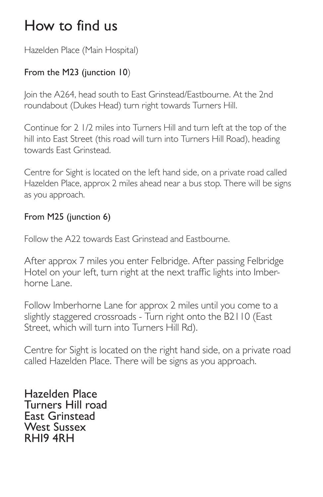# How to find us

Hazelden Place (Main Hospital)

### From the M23 (junction 10)

Join the A264, head south to East Grinstead/Eastbourne. At the 2nd roundabout (Dukes Head) turn right towards Turners Hill.

Continue for 2 1/2 miles into Turners Hill and turn left at the top of the hill into East Street (this road will turn into Turners Hill Road), heading towards East Grinstead.

Centre for Sight is located on the left hand side, on a private road called Hazelden Place, approx 2 miles ahead near a bus stop. There will be signs as you approach.

#### From M25 (junction 6)

Follow the A22 towards East Grinstead and Eastbourne.

After approx 7 miles you enter Felbridge. After passing Felbridge Hotel on your left, turn right at the next traffic lights into Imberhorne Lane.

Follow Imberhorne Lane for approx 2 miles until you come to a slightly staggered crossroads - Turn right onto the B2110 (East Street, which will turn into Turners Hill Rd).

Centre for Sight is located on the right hand side, on a private road called Hazelden Place. There will be signs as you approach.

Hazelden Place Turners Hill road East Grinstead West Sussex RH19 4RH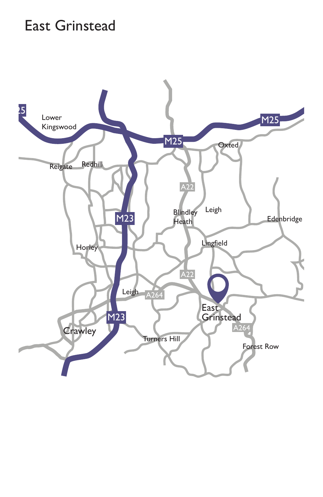### East Grinstead